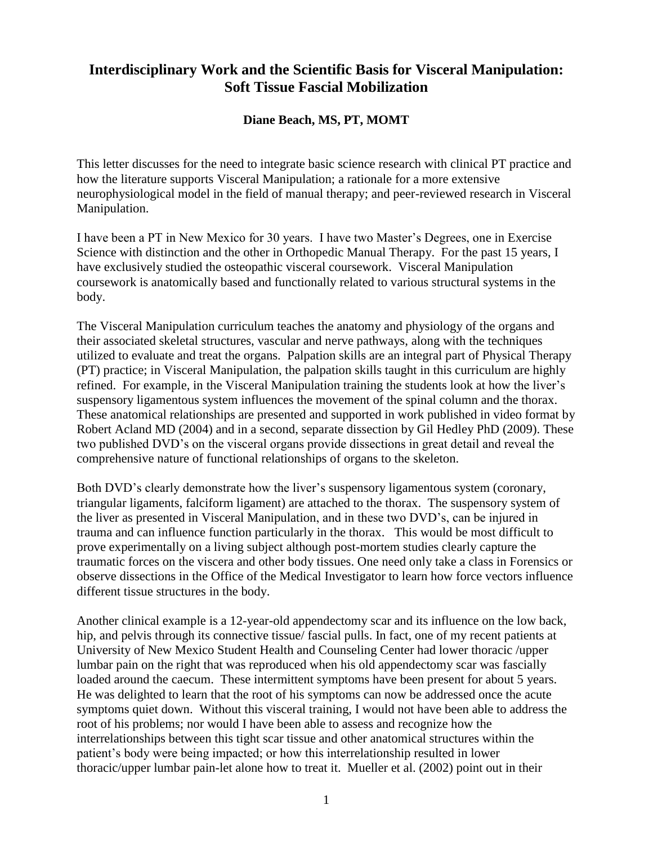## **Interdisciplinary Work and the Scientific Basis for Visceral Manipulation: Soft Tissue Fascial Mobilization**

## **Diane Beach, MS, PT, MOMT**

This letter discusses for the need to integrate basic science research with clinical PT practice and how the literature supports Visceral Manipulation; a rationale for a more extensive neurophysiological model in the field of manual therapy; and peer-reviewed research in Visceral Manipulation.

I have been a PT in New Mexico for 30 years. I have two Master's Degrees, one in Exercise Science with distinction and the other in Orthopedic Manual Therapy. For the past 15 years, I have exclusively studied the osteopathic visceral coursework. Visceral Manipulation coursework is anatomically based and functionally related to various structural systems in the body.

The Visceral Manipulation curriculum teaches the anatomy and physiology of the organs and their associated skeletal structures, vascular and nerve pathways, along with the techniques utilized to evaluate and treat the organs. Palpation skills are an integral part of Physical Therapy (PT) practice; in Visceral Manipulation, the palpation skills taught in this curriculum are highly refined. For example, in the Visceral Manipulation training the students look at how the liver's suspensory ligamentous system influences the movement of the spinal column and the thorax. These anatomical relationships are presented and supported in work published in video format by Robert Acland MD (2004) and in a second, separate dissection by Gil Hedley PhD (2009). These two published DVD's on the visceral organs provide dissections in great detail and reveal the comprehensive nature of functional relationships of organs to the skeleton.

Both DVD's clearly demonstrate how the liver's suspensory ligamentous system (coronary, triangular ligaments, falciform ligament) are attached to the thorax. The suspensory system of the liver as presented in Visceral Manipulation, and in these two DVD's, can be injured in trauma and can influence function particularly in the thorax. This would be most difficult to prove experimentally on a living subject although post-mortem studies clearly capture the traumatic forces on the viscera and other body tissues. One need only take a class in Forensics or observe dissections in the Office of the Medical Investigator to learn how force vectors influence different tissue structures in the body.

Another clinical example is a 12-year-old appendectomy scar and its influence on the low back, hip, and pelvis through its connective tissue/ fascial pulls. In fact, one of my recent patients at University of New Mexico Student Health and Counseling Center had lower thoracic /upper lumbar pain on the right that was reproduced when his old appendectomy scar was fascially loaded around the caecum. These intermittent symptoms have been present for about 5 years. He was delighted to learn that the root of his symptoms can now be addressed once the acute symptoms quiet down. Without this visceral training, I would not have been able to address the root of his problems; nor would I have been able to assess and recognize how the interrelationships between this tight scar tissue and other anatomical structures within the patient's body were being impacted; or how this interrelationship resulted in lower thoracic/upper lumbar pain-let alone how to treat it. Mueller et al. (2002) point out in their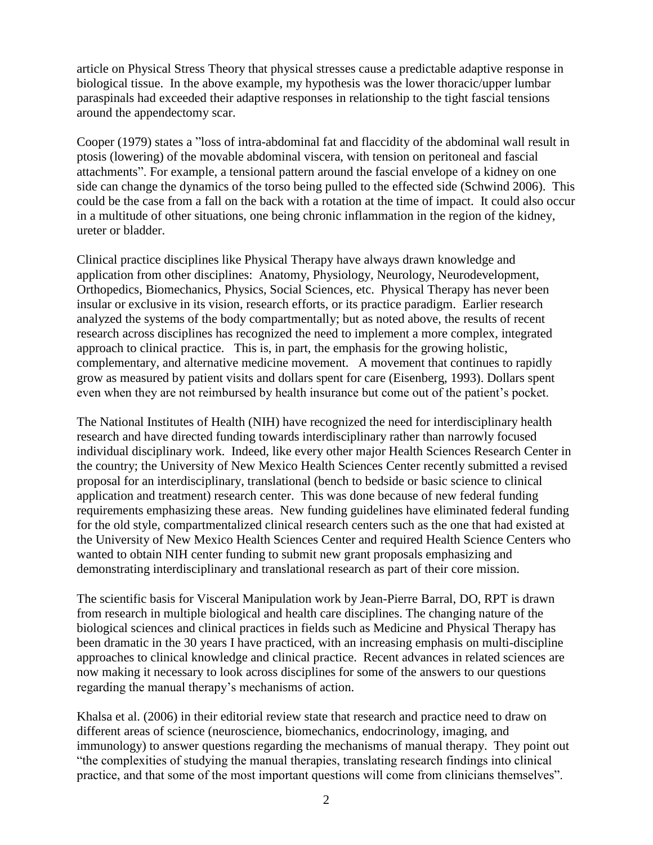article on Physical Stress Theory that physical stresses cause a predictable adaptive response in biological tissue. In the above example, my hypothesis was the lower thoracic/upper lumbar paraspinals had exceeded their adaptive responses in relationship to the tight fascial tensions around the appendectomy scar.

Cooper (1979) states a "loss of intra-abdominal fat and flaccidity of the abdominal wall result in ptosis (lowering) of the movable abdominal viscera, with tension on peritoneal and fascial attachments". For example, a tensional pattern around the fascial envelope of a kidney on one side can change the dynamics of the torso being pulled to the effected side (Schwind 2006). This could be the case from a fall on the back with a rotation at the time of impact. It could also occur in a multitude of other situations, one being chronic inflammation in the region of the kidney, ureter or bladder.

Clinical practice disciplines like Physical Therapy have always drawn knowledge and application from other disciplines: Anatomy, Physiology, Neurology, Neurodevelopment, Orthopedics, Biomechanics, Physics, Social Sciences, etc. Physical Therapy has never been insular or exclusive in its vision, research efforts, or its practice paradigm. Earlier research analyzed the systems of the body compartmentally; but as noted above, the results of recent research across disciplines has recognized the need to implement a more complex, integrated approach to clinical practice. This is, in part, the emphasis for the growing holistic, complementary, and alternative medicine movement. A movement that continues to rapidly grow as measured by patient visits and dollars spent for care (Eisenberg, 1993). Dollars spent even when they are not reimbursed by health insurance but come out of the patient's pocket.

The National Institutes of Health (NIH) have recognized the need for interdisciplinary health research and have directed funding towards interdisciplinary rather than narrowly focused individual disciplinary work. Indeed, like every other major Health Sciences Research Center in the country; the University of New Mexico Health Sciences Center recently submitted a revised proposal for an interdisciplinary, translational (bench to bedside or basic science to clinical application and treatment) research center. This was done because of new federal funding requirements emphasizing these areas. New funding guidelines have eliminated federal funding for the old style, compartmentalized clinical research centers such as the one that had existed at the University of New Mexico Health Sciences Center and required Health Science Centers who wanted to obtain NIH center funding to submit new grant proposals emphasizing and demonstrating interdisciplinary and translational research as part of their core mission.

The scientific basis for Visceral Manipulation work by Jean-Pierre Barral, DO, RPT is drawn from research in multiple biological and health care disciplines. The changing nature of the biological sciences and clinical practices in fields such as Medicine and Physical Therapy has been dramatic in the 30 years I have practiced, with an increasing emphasis on multi-discipline approaches to clinical knowledge and clinical practice. Recent advances in related sciences are now making it necessary to look across disciplines for some of the answers to our questions regarding the manual therapy's mechanisms of action.

Khalsa et al. (2006) in their editorial review state that research and practice need to draw on different areas of science (neuroscience, biomechanics, endocrinology, imaging, and immunology) to answer questions regarding the mechanisms of manual therapy. They point out "the complexities of studying the manual therapies, translating research findings into clinical practice, and that some of the most important questions will come from clinicians themselves".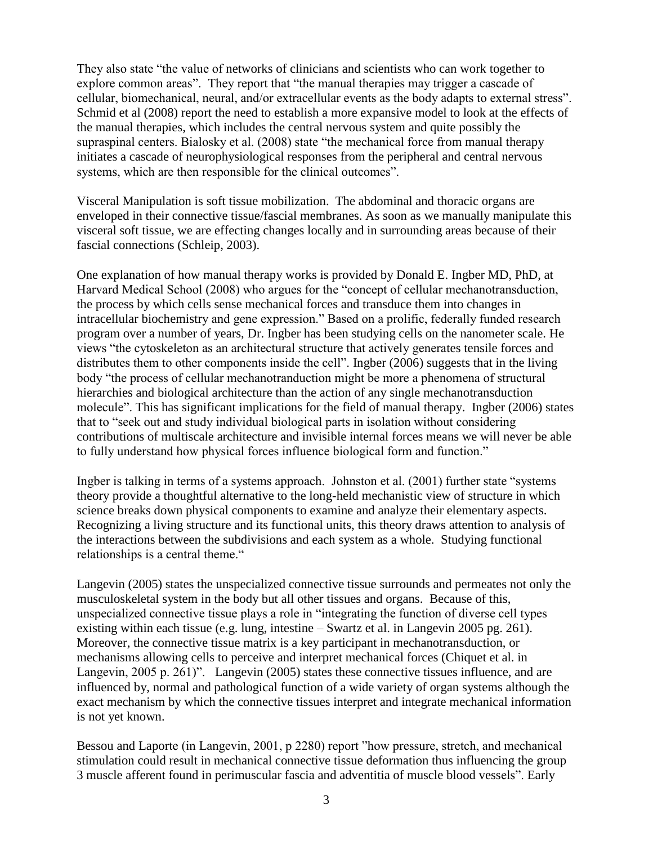They also state "the value of networks of clinicians and scientists who can work together to explore common areas". They report that "the manual therapies may trigger a cascade of cellular, biomechanical, neural, and/or extracellular events as the body adapts to external stress". Schmid et al (2008) report the need to establish a more expansive model to look at the effects of the manual therapies, which includes the central nervous system and quite possibly the supraspinal centers. Bialosky et al. (2008) state "the mechanical force from manual therapy initiates a cascade of neurophysiological responses from the peripheral and central nervous systems, which are then responsible for the clinical outcomes".

Visceral Manipulation is soft tissue mobilization. The abdominal and thoracic organs are enveloped in their connective tissue/fascial membranes. As soon as we manually manipulate this visceral soft tissue, we are effecting changes locally and in surrounding areas because of their fascial connections (Schleip, 2003).

One explanation of how manual therapy works is provided by Donald E. Ingber MD, PhD, at Harvard Medical School (2008) who argues for the "concept of cellular mechanotransduction, the process by which cells sense mechanical forces and transduce them into changes in intracellular biochemistry and gene expression." Based on a prolific, federally funded research program over a number of years, Dr. Ingber has been studying cells on the nanometer scale. He views "the cytoskeleton as an architectural structure that actively generates tensile forces and distributes them to other components inside the cell". Ingber (2006) suggests that in the living body "the process of cellular mechanotranduction might be more a phenomena of structural hierarchies and biological architecture than the action of any single mechanotransduction molecule". This has significant implications for the field of manual therapy. Ingber (2006) states that to "seek out and study individual biological parts in isolation without considering contributions of multiscale architecture and invisible internal forces means we will never be able to fully understand how physical forces influence biological form and function."

Ingber is talking in terms of a systems approach. Johnston et al. (2001) further state "systems theory provide a thoughtful alternative to the long-held mechanistic view of structure in which science breaks down physical components to examine and analyze their elementary aspects. Recognizing a living structure and its functional units, this theory draws attention to analysis of the interactions between the subdivisions and each system as a whole. Studying functional relationships is a central theme."

Langevin (2005) states the unspecialized connective tissue surrounds and permeates not only the musculoskeletal system in the body but all other tissues and organs. Because of this, unspecialized connective tissue plays a role in "integrating the function of diverse cell types existing within each tissue (e.g. lung, intestine – Swartz et al. in Langevin 2005 pg. 261). Moreover, the connective tissue matrix is a key participant in mechanotransduction, or mechanisms allowing cells to perceive and interpret mechanical forces (Chiquet et al. in Langevin, 2005 p. 261)". Langevin (2005) states these connective tissues influence, and are influenced by, normal and pathological function of a wide variety of organ systems although the exact mechanism by which the connective tissues interpret and integrate mechanical information is not yet known.

Bessou and Laporte (in Langevin, 2001, p 2280) report "how pressure, stretch, and mechanical stimulation could result in mechanical connective tissue deformation thus influencing the group 3 muscle afferent found in perimuscular fascia and adventitia of muscle blood vessels". Early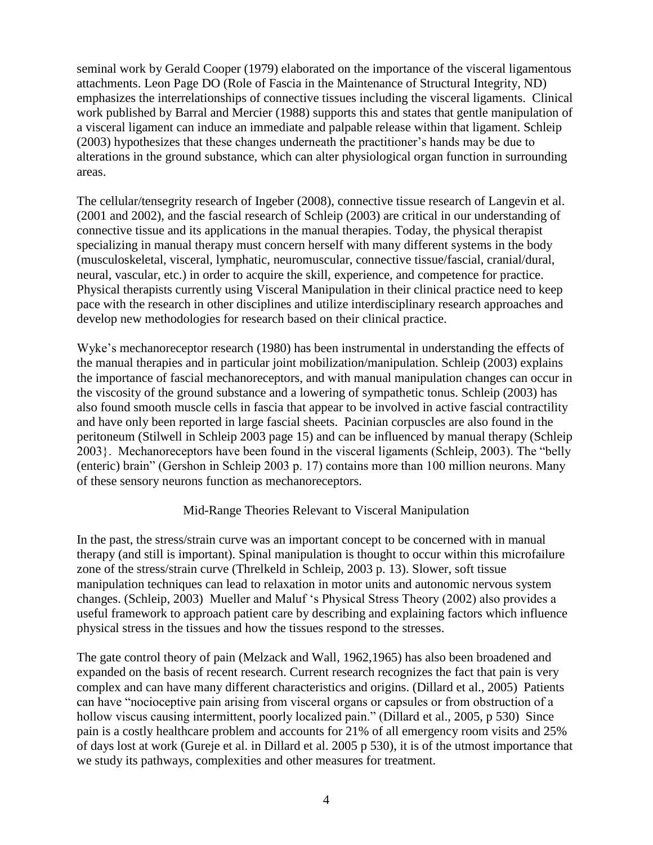seminal work by Gerald Cooper (1979) elaborated on the importance of the visceral ligamentous attachments. Leon Page DO (Role of Fascia in the Maintenance of Structural Integrity, ND) emphasizes the interrelationships of connective tissues including the visceral ligaments. Clinical work published by Barral and Mercier (1988) supports this and states that gentle manipulation of a visceral ligament can induce an immediate and palpable release within that ligament. Schleip (2003) hypothesizes that these changes underneath the practitioner's hands may be due to alterations in the ground substance, which can alter physiological organ function in surrounding areas.

The cellular/tensegrity research of Ingeber (2008), connective tissue research of Langevin et al. (2001 and 2002), and the fascial research of Schleip (2003) are critical in our understanding of connective tissue and its applications in the manual therapies. Today, the physical therapist specializing in manual therapy must concern herself with many different systems in the body (musculoskeletal, visceral, lymphatic, neuromuscular, connective tissue/fascial, cranial/dural, neural, vascular, etc.) in order to acquire the skill, experience, and competence for practice. Physical therapists currently using Visceral Manipulation in their clinical practice need to keep pace with the research in other disciplines and utilize interdisciplinary research approaches and develop new methodologies for research based on their clinical practice.

Wyke's mechanoreceptor research (1980) has been instrumental in understanding the effects of the manual therapies and in particular joint mobilization/manipulation. Schleip (2003) explains the importance of fascial mechanoreceptors, and with manual manipulation changes can occur in the viscosity of the ground substance and a lowering of sympathetic tonus. Schleip (2003) has also found smooth muscle cells in fascia that appear to be involved in active fascial contractility and have only been reported in large fascial sheets. Pacinian corpuscles are also found in the peritoneum (Stilwell in Schleip 2003 page 15) and can be influenced by manual therapy (Schleip 2003}. Mechanoreceptors have been found in the visceral ligaments (Schleip, 2003). The "belly (enteric) brain" (Gershon in Schleip 2003 p. 17) contains more than 100 million neurons. Many of these sensory neurons function as mechanoreceptors.

## Mid-Range Theories Relevant to Visceral Manipulation

In the past, the stress/strain curve was an important concept to be concerned with in manual therapy (and still is important). Spinal manipulation is thought to occur within this microfailure zone of the stress/strain curve (Threlkeld in Schleip, 2003 p. 13). Slower, soft tissue manipulation techniques can lead to relaxation in motor units and autonomic nervous system changes. (Schleip, 2003) Mueller and Maluf 's Physical Stress Theory (2002) also provides a useful framework to approach patient care by describing and explaining factors which influence physical stress in the tissues and how the tissues respond to the stresses.

The gate control theory of pain (Melzack and Wall, 1962,1965) has also been broadened and expanded on the basis of recent research. Current research recognizes the fact that pain is very complex and can have many different characteristics and origins. (Dillard et al., 2005) Patients can have "nocioceptive pain arising from visceral organs or capsules or from obstruction of a hollow viscus causing intermittent, poorly localized pain." (Dillard et al., 2005, p 530) Since pain is a costly healthcare problem and accounts for 21% of all emergency room visits and 25% of days lost at work (Gureje et al. in Dillard et al. 2005 p 530), it is of the utmost importance that we study its pathways, complexities and other measures for treatment.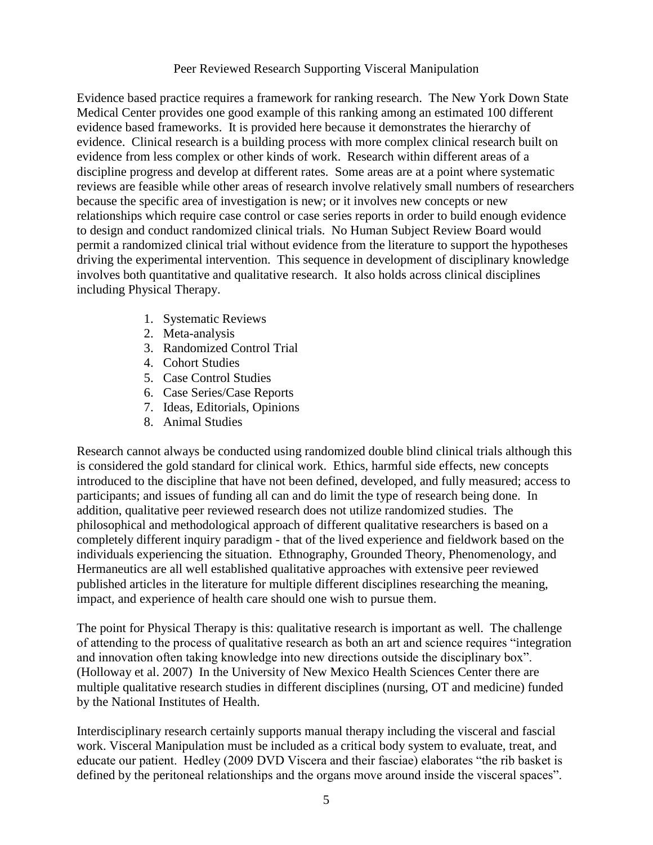Peer Reviewed Research Supporting Visceral Manipulation

Evidence based practice requires a framework for ranking research. The New York Down State Medical Center provides one good example of this ranking among an estimated 100 different evidence based frameworks. It is provided here because it demonstrates the hierarchy of evidence. Clinical research is a building process with more complex clinical research built on evidence from less complex or other kinds of work. Research within different areas of a discipline progress and develop at different rates. Some areas are at a point where systematic reviews are feasible while other areas of research involve relatively small numbers of researchers because the specific area of investigation is new; or it involves new concepts or new relationships which require case control or case series reports in order to build enough evidence to design and conduct randomized clinical trials. No Human Subject Review Board would permit a randomized clinical trial without evidence from the literature to support the hypotheses driving the experimental intervention. This sequence in development of disciplinary knowledge involves both quantitative and qualitative research. It also holds across clinical disciplines including Physical Therapy.

- 1. Systematic Reviews
- 2. Meta-analysis
- 3. Randomized Control Trial
- 4. Cohort Studies
- 5. Case Control Studies
- 6. Case Series/Case Reports
- 7. Ideas, Editorials, Opinions
- 8. Animal Studies

Research cannot always be conducted using randomized double blind clinical trials although this is considered the gold standard for clinical work. Ethics, harmful side effects, new concepts introduced to the discipline that have not been defined, developed, and fully measured; access to participants; and issues of funding all can and do limit the type of research being done. In addition, qualitative peer reviewed research does not utilize randomized studies. The philosophical and methodological approach of different qualitative researchers is based on a completely different inquiry paradigm - that of the lived experience and fieldwork based on the individuals experiencing the situation. Ethnography, Grounded Theory, Phenomenology, and Hermaneutics are all well established qualitative approaches with extensive peer reviewed published articles in the literature for multiple different disciplines researching the meaning, impact, and experience of health care should one wish to pursue them.

The point for Physical Therapy is this: qualitative research is important as well. The challenge of attending to the process of qualitative research as both an art and science requires "integration and innovation often taking knowledge into new directions outside the disciplinary box". (Holloway et al. 2007) In the University of New Mexico Health Sciences Center there are multiple qualitative research studies in different disciplines (nursing, OT and medicine) funded by the National Institutes of Health.

Interdisciplinary research certainly supports manual therapy including the visceral and fascial work. Visceral Manipulation must be included as a critical body system to evaluate, treat, and educate our patient. Hedley (2009 DVD Viscera and their fasciae) elaborates "the rib basket is defined by the peritoneal relationships and the organs move around inside the visceral spaces".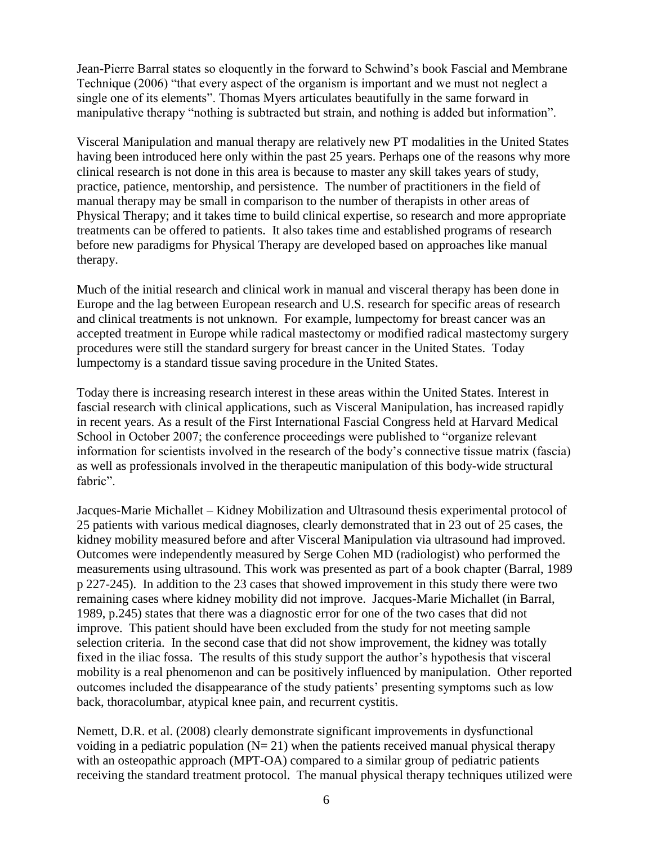Jean-Pierre Barral states so eloquently in the forward to Schwind's book Fascial and Membrane Technique (2006) "that every aspect of the organism is important and we must not neglect a single one of its elements". Thomas Myers articulates beautifully in the same forward in manipulative therapy "nothing is subtracted but strain, and nothing is added but information".

Visceral Manipulation and manual therapy are relatively new PT modalities in the United States having been introduced here only within the past 25 years. Perhaps one of the reasons why more clinical research is not done in this area is because to master any skill takes years of study, practice, patience, mentorship, and persistence. The number of practitioners in the field of manual therapy may be small in comparison to the number of therapists in other areas of Physical Therapy; and it takes time to build clinical expertise, so research and more appropriate treatments can be offered to patients. It also takes time and established programs of research before new paradigms for Physical Therapy are developed based on approaches like manual therapy.

Much of the initial research and clinical work in manual and visceral therapy has been done in Europe and the lag between European research and U.S. research for specific areas of research and clinical treatments is not unknown. For example, lumpectomy for breast cancer was an accepted treatment in Europe while radical mastectomy or modified radical mastectomy surgery procedures were still the standard surgery for breast cancer in the United States. Today lumpectomy is a standard tissue saving procedure in the United States.

Today there is increasing research interest in these areas within the United States. Interest in fascial research with clinical applications, such as Visceral Manipulation, has increased rapidly in recent years. As a result of the First International Fascial Congress held at Harvard Medical School in October 2007; the conference proceedings were published to "organize relevant information for scientists involved in the research of the body's connective tissue matrix (fascia) as well as professionals involved in the therapeutic manipulation of this body-wide structural fabric".

Jacques-Marie Michallet – Kidney Mobilization and Ultrasound thesis experimental protocol of 25 patients with various medical diagnoses, clearly demonstrated that in 23 out of 25 cases, the kidney mobility measured before and after Visceral Manipulation via ultrasound had improved. Outcomes were independently measured by Serge Cohen MD (radiologist) who performed the measurements using ultrasound. This work was presented as part of a book chapter (Barral, 1989 p 227-245). In addition to the 23 cases that showed improvement in this study there were two remaining cases where kidney mobility did not improve. Jacques-Marie Michallet (in Barral, 1989, p.245) states that there was a diagnostic error for one of the two cases that did not improve. This patient should have been excluded from the study for not meeting sample selection criteria. In the second case that did not show improvement, the kidney was totally fixed in the iliac fossa. The results of this study support the author's hypothesis that visceral mobility is a real phenomenon and can be positively influenced by manipulation. Other reported outcomes included the disappearance of the study patients' presenting symptoms such as low back, thoracolumbar, atypical knee pain, and recurrent cystitis.

Nemett, D.R. et al. (2008) clearly demonstrate significant improvements in dysfunctional voiding in a pediatric population  $(N= 21)$  when the patients received manual physical therapy with an osteopathic approach (MPT-OA) compared to a similar group of pediatric patients receiving the standard treatment protocol. The manual physical therapy techniques utilized were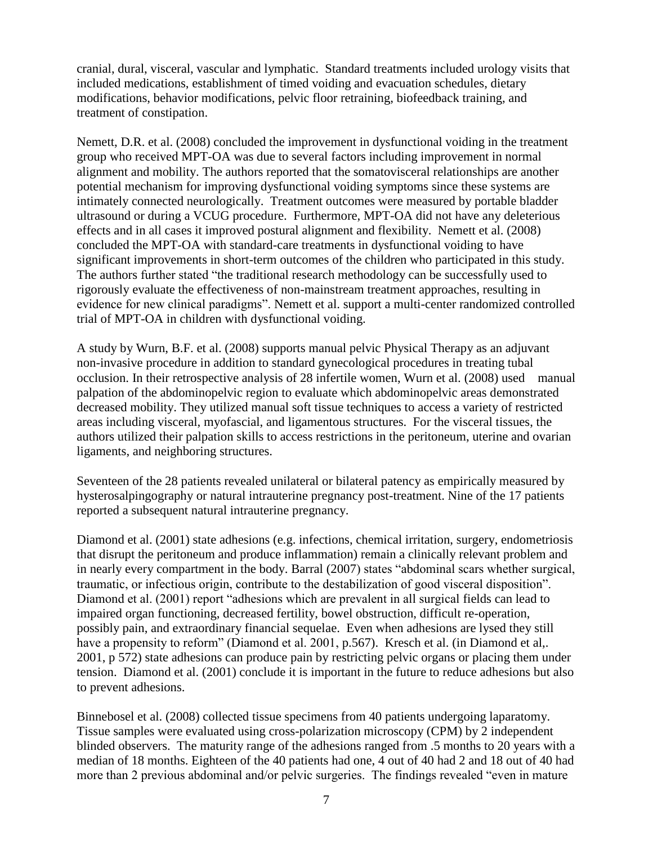cranial, dural, visceral, vascular and lymphatic. Standard treatments included urology visits that included medications, establishment of timed voiding and evacuation schedules, dietary modifications, behavior modifications, pelvic floor retraining, biofeedback training, and treatment of constipation.

Nemett, D.R. et al. (2008) concluded the improvement in dysfunctional voiding in the treatment group who received MPT-OA was due to several factors including improvement in normal alignment and mobility. The authors reported that the somatovisceral relationships are another potential mechanism for improving dysfunctional voiding symptoms since these systems are intimately connected neurologically. Treatment outcomes were measured by portable bladder ultrasound or during a VCUG procedure. Furthermore, MPT-OA did not have any deleterious effects and in all cases it improved postural alignment and flexibility. Nemett et al. (2008) concluded the MPT-OA with standard-care treatments in dysfunctional voiding to have significant improvements in short-term outcomes of the children who participated in this study. The authors further stated "the traditional research methodology can be successfully used to rigorously evaluate the effectiveness of non-mainstream treatment approaches, resulting in evidence for new clinical paradigms". Nemett et al. support a multi-center randomized controlled trial of MPT-OA in children with dysfunctional voiding.

A study by Wurn, B.F. et al. (2008) supports manual pelvic Physical Therapy as an adjuvant non-invasive procedure in addition to standard gynecological procedures in treating tubal occlusion. In their retrospective analysis of 28 infertile women, Wurn et al. (2008) used manual palpation of the abdominopelvic region to evaluate which abdominopelvic areas demonstrated decreased mobility. They utilized manual soft tissue techniques to access a variety of restricted areas including visceral, myofascial, and ligamentous structures. For the visceral tissues, the authors utilized their palpation skills to access restrictions in the peritoneum, uterine and ovarian ligaments, and neighboring structures.

Seventeen of the 28 patients revealed unilateral or bilateral patency as empirically measured by hysterosalpingography or natural intrauterine pregnancy post-treatment. Nine of the 17 patients reported a subsequent natural intrauterine pregnancy.

Diamond et al. (2001) state adhesions (e.g. infections, chemical irritation, surgery, endometriosis that disrupt the peritoneum and produce inflammation) remain a clinically relevant problem and in nearly every compartment in the body. Barral (2007) states "abdominal scars whether surgical, traumatic, or infectious origin, contribute to the destabilization of good visceral disposition". Diamond et al. (2001) report "adhesions which are prevalent in all surgical fields can lead to impaired organ functioning, decreased fertility, bowel obstruction, difficult re-operation, possibly pain, and extraordinary financial sequelae. Even when adhesions are lysed they still have a propensity to reform" (Diamond et al. 2001, p.567). Kresch et al. (in Diamond et al,. 2001, p 572) state adhesions can produce pain by restricting pelvic organs or placing them under tension. Diamond et al. (2001) conclude it is important in the future to reduce adhesions but also to prevent adhesions.

Binnebosel et al. (2008) collected tissue specimens from 40 patients undergoing laparatomy. Tissue samples were evaluated using cross-polarization microscopy (CPM) by 2 independent blinded observers. The maturity range of the adhesions ranged from .5 months to 20 years with a median of 18 months. Eighteen of the 40 patients had one, 4 out of 40 had 2 and 18 out of 40 had more than 2 previous abdominal and/or pelvic surgeries. The findings revealed "even in mature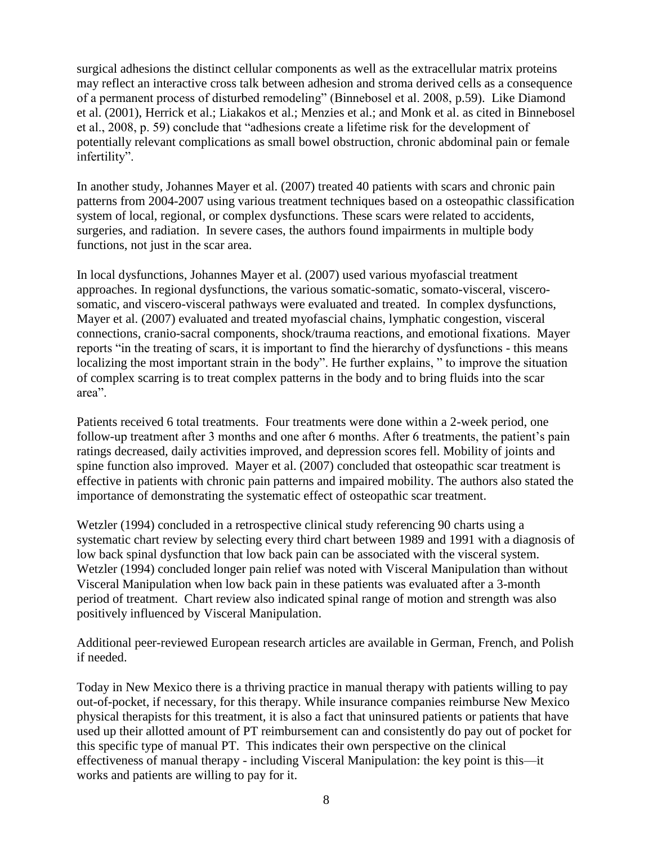surgical adhesions the distinct cellular components as well as the extracellular matrix proteins may reflect an interactive cross talk between adhesion and stroma derived cells as a consequence of a permanent process of disturbed remodeling" (Binnebosel et al. 2008, p.59). Like Diamond et al. (2001), Herrick et al.; Liakakos et al.; Menzies et al.; and Monk et al. as cited in Binnebosel et al., 2008, p. 59) conclude that "adhesions create a lifetime risk for the development of potentially relevant complications as small bowel obstruction, chronic abdominal pain or female infertility".

In another study, Johannes Mayer et al. (2007) treated 40 patients with scars and chronic pain patterns from 2004-2007 using various treatment techniques based on a osteopathic classification system of local, regional, or complex dysfunctions. These scars were related to accidents, surgeries, and radiation. In severe cases, the authors found impairments in multiple body functions, not just in the scar area.

In local dysfunctions, Johannes Mayer et al. (2007) used various myofascial treatment approaches. In regional dysfunctions, the various somatic-somatic, somato-visceral, viscerosomatic, and viscero-visceral pathways were evaluated and treated. In complex dysfunctions, Mayer et al. (2007) evaluated and treated myofascial chains, lymphatic congestion, visceral connections, cranio-sacral components, shock/trauma reactions, and emotional fixations. Mayer reports "in the treating of scars, it is important to find the hierarchy of dysfunctions - this means localizing the most important strain in the body". He further explains, " to improve the situation of complex scarring is to treat complex patterns in the body and to bring fluids into the scar area".

Patients received 6 total treatments. Four treatments were done within a 2-week period, one follow-up treatment after 3 months and one after 6 months. After 6 treatments, the patient's pain ratings decreased, daily activities improved, and depression scores fell. Mobility of joints and spine function also improved. Mayer et al. (2007) concluded that osteopathic scar treatment is effective in patients with chronic pain patterns and impaired mobility. The authors also stated the importance of demonstrating the systematic effect of osteopathic scar treatment.

Wetzler (1994) concluded in a retrospective clinical study referencing 90 charts using a systematic chart review by selecting every third chart between 1989 and 1991 with a diagnosis of low back spinal dysfunction that low back pain can be associated with the visceral system. Wetzler (1994) concluded longer pain relief was noted with Visceral Manipulation than without Visceral Manipulation when low back pain in these patients was evaluated after a 3-month period of treatment. Chart review also indicated spinal range of motion and strength was also positively influenced by Visceral Manipulation.

Additional peer-reviewed European research articles are available in German, French, and Polish if needed.

Today in New Mexico there is a thriving practice in manual therapy with patients willing to pay out-of-pocket, if necessary, for this therapy. While insurance companies reimburse New Mexico physical therapists for this treatment, it is also a fact that uninsured patients or patients that have used up their allotted amount of PT reimbursement can and consistently do pay out of pocket for this specific type of manual PT. This indicates their own perspective on the clinical effectiveness of manual therapy - including Visceral Manipulation: the key point is this—it works and patients are willing to pay for it.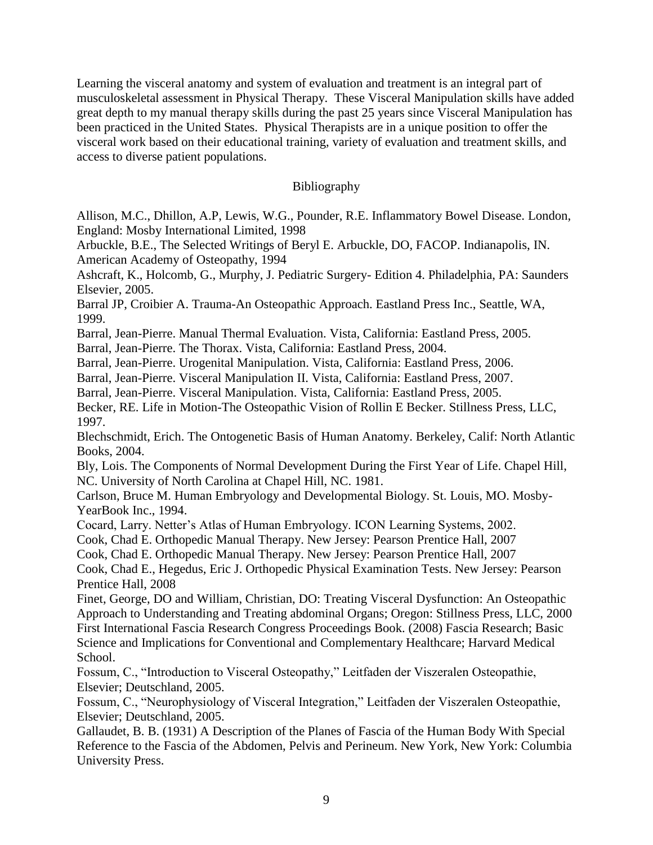Learning the visceral anatomy and system of evaluation and treatment is an integral part of musculoskeletal assessment in Physical Therapy. These Visceral Manipulation skills have added great depth to my manual therapy skills during the past 25 years since Visceral Manipulation has been practiced in the United States. Physical Therapists are in a unique position to offer the visceral work based on their educational training, variety of evaluation and treatment skills, and access to diverse patient populations.

## Bibliography

Allison, M.C., Dhillon, A.P, Lewis, W.G., Pounder, R.E. Inflammatory Bowel Disease. London, England: Mosby International Limited, 1998

Arbuckle, B.E., The Selected Writings of Beryl E. Arbuckle, DO, FACOP. Indianapolis, IN. American Academy of Osteopathy, 1994

Ashcraft, K., Holcomb, G., Murphy, J. Pediatric Surgery- Edition 4. Philadelphia, PA: Saunders Elsevier, 2005.

Barral JP, Croibier A. Trauma-An Osteopathic Approach. Eastland Press Inc., Seattle, WA, 1999.

Barral, Jean-Pierre. Manual Thermal Evaluation. Vista, California: Eastland Press, 2005.

Barral, Jean-Pierre. The Thorax. Vista, California: Eastland Press, 2004.

Barral, Jean-Pierre. Urogenital Manipulation. Vista, California: Eastland Press, 2006.

Barral, Jean-Pierre. Visceral Manipulation II. Vista, California: Eastland Press, 2007.

Barral, Jean-Pierre. Visceral Manipulation. Vista, California: Eastland Press, 2005.

Becker, RE. Life in Motion-The Osteopathic Vision of Rollin E Becker. Stillness Press, LLC, 1997.

Blechschmidt, Erich. The Ontogenetic Basis of Human Anatomy. Berkeley, Calif: North Atlantic Books, 2004.

Bly, Lois. The Components of Normal Development During the First Year of Life. Chapel Hill, NC. University of North Carolina at Chapel Hill, NC. 1981.

Carlson, Bruce M. Human Embryology and Developmental Biology. St. Louis, MO. Mosby-YearBook Inc., 1994.

Cocard, Larry. Netter's Atlas of Human Embryology. ICON Learning Systems, 2002.

Cook, Chad E. Orthopedic Manual Therapy. New Jersey: Pearson Prentice Hall, 2007

Cook, Chad E. Orthopedic Manual Therapy. New Jersey: Pearson Prentice Hall, 2007

Cook, Chad E., Hegedus, Eric J. Orthopedic Physical Examination Tests. New Jersey: Pearson Prentice Hall, 2008

Finet, George, DO and William, Christian, DO: Treating Visceral Dysfunction: An Osteopathic Approach to Understanding and Treating abdominal Organs; Oregon: Stillness Press, LLC, 2000 First International Fascia Research Congress Proceedings Book. (2008) Fascia Research; Basic Science and Implications for Conventional and Complementary Healthcare; Harvard Medical School.

Fossum, C., "Introduction to Visceral Osteopathy," Leitfaden der Viszeralen Osteopathie, Elsevier; Deutschland, 2005.

Fossum, C., "Neurophysiology of Visceral Integration," Leitfaden der Viszeralen Osteopathie, Elsevier; Deutschland, 2005.

Gallaudet, B. B. (1931) A Description of the Planes of Fascia of the Human Body With Special Reference to the Fascia of the Abdomen, Pelvis and Perineum. New York, New York: Columbia University Press.